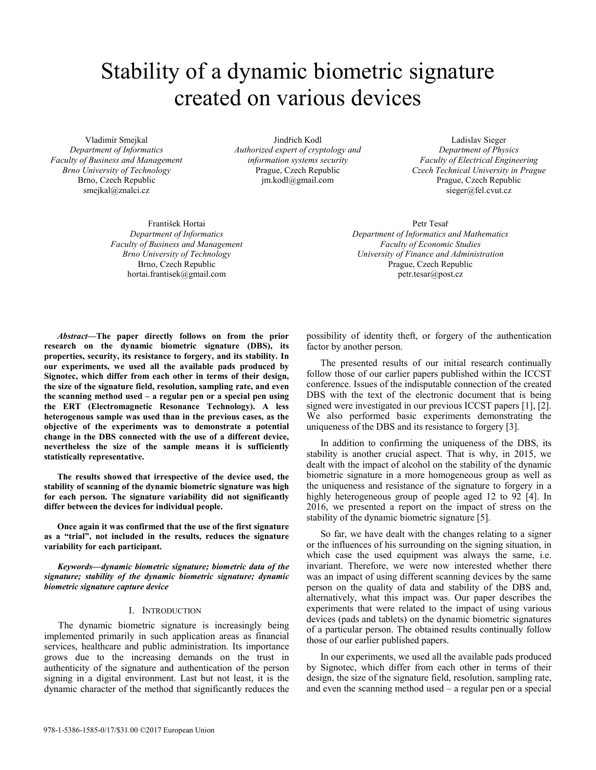# Stability of a dynamic biometric signature created on various devices

Vladimír Smejkal *Department of Informatics Faculty of Business and Management Brno University of Technology*  Brno, Czech Republic smejkal@znalci.cz

Jindřich Kodl *Authorized expert of cryptology and information systems security* Prague, Czech Republic jm.kodl@gmail.com

Ladislav Sieger *Department of Physics Faculty of Electrical Engineering Czech Technical University in Prague*  Prague, Czech Republic sieger@fel.cvut.cz

František Hortai *Department of Informatics Faculty of Business and Management Brno University of Technology*  Brno, Czech Republic hortai.frantisek@gmail.com

Petr Tesař *Department of Informatics and Mathematics Faculty of Economic Studies University of Finance and Administration*  Prague, Czech Republic petr.tesar@post.cz

*Abstract***—The paper directly follows on from the prior research on the dynamic biometric signature (DBS), its properties, security, its resistance to forgery, and its stability. In our experiments, we used all the available pads produced by Signotec, which differ from each other in terms of their design, the size of the signature field, resolution, sampling rate, and even the scanning method used – a regular pen or a special pen using the ERT (Electromagnetic Resonance Technology). A less heterogenous sample was used than in the previous cases, as the objective of the experiments was to demonstrate a potential change in the DBS connected with the use of a different device, nevertheless the size of the sample means it is sufficiently statistically representative.** 

**The results showed that irrespective of the device used, the stability of scanning of the dynamic biometric signature was high for each person. The signature variability did not significantly differ between the devices for individual people.** 

**Once again it was confirmed that the use of the first signature as a "trial", not included in the results, reduces the signature variability for each participant.**

*Keywords—dynamic biometric signature; biometric data of the signature; stability of the dynamic biometric signature; dynamic biometric signature capture device* 

## I. INTRODUCTION

The dynamic biometric signature is increasingly being implemented primarily in such application areas as financial services, healthcare and public administration. Its importance grows due to the increasing demands on the trust in authenticity of the signature and authentication of the person signing in a digital environment. Last but not least, it is the dynamic character of the method that significantly reduces the

possibility of identity theft, or forgery of the authentication factor by another person.

The presented results of our initial research continually follow those of our earlier papers published within the ICCST conference. Issues of the indisputable connection of the created DBS with the text of the electronic document that is being signed were investigated in our previous ICCST papers [1], [2]. We also performed basic experiments demonstrating the uniqueness of the DBS and its resistance to forgery [3].

In addition to confirming the uniqueness of the DBS, its stability is another crucial aspect. That is why, in 2015, we dealt with the impact of alcohol on the stability of the dynamic biometric signature in a more homogeneous group as well as the uniqueness and resistance of the signature to forgery in a highly heterogeneous group of people aged 12 to 92 [4]. In 2016, we presented a report on the impact of stress on the stability of the dynamic biometric signature [5].

So far, we have dealt with the changes relating to a signer or the influences of his surrounding on the signing situation, in which case the used equipment was always the same, i.e. invariant. Therefore, we were now interested whether there was an impact of using different scanning devices by the same person on the quality of data and stability of the DBS and, alternatively, what this impact was. Our paper describes the experiments that were related to the impact of using various devices (pads and tablets) on the dynamic biometric signatures of a particular person. The obtained results continually follow those of our earlier published papers.

In our experiments, we used all the available pads produced by Signotec, which differ from each other in terms of their design, the size of the signature field, resolution, sampling rate, and even the scanning method used – a regular pen or a special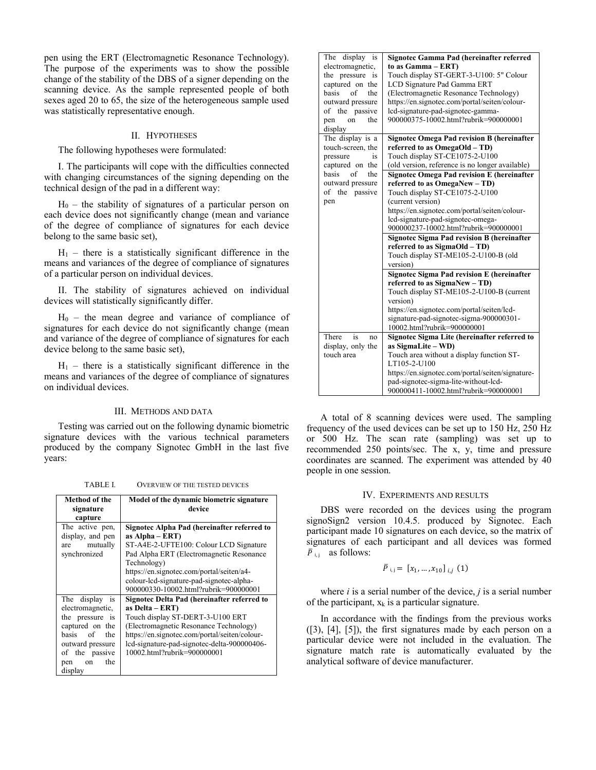pen using the ERT (Electromagnetic Resonance Technology). The purpose of the experiments was to show the possible change of the stability of the DBS of a signer depending on the scanning device. As the sample represented people of both sexes aged 20 to 65, the size of the heterogeneous sample used was statistically representative enough.

# II. HYPOTHESES

The following hypotheses were formulated:

I. The participants will cope with the difficulties connected with changing circumstances of the signing depending on the technical design of the pad in a different way:

 $H_0$  – the stability of signatures of a particular person on each device does not significantly change (mean and variance of the degree of compliance of signatures for each device belong to the same basic set),

 $H_1$  – there is a statistically significant difference in the means and variances of the degree of compliance of signatures of a particular person on individual devices.

II. The stability of signatures achieved on individual devices will statistically significantly differ.

 $H_0$  – the mean degree and variance of compliance of signatures for each device do not significantly change (mean and variance of the degree of compliance of signatures for each device belong to the same basic set),

 $H_1$  – there is a statistically significant difference in the means and variances of the degree of compliance of signatures on individual devices.

### III. METHODS AND DATA

Testing was carried out on the following dynamic biometric signature devices with the various technical parameters produced by the company Signotec GmbH in the last five years:

TABLE I. OVERVIEW OF THE TESTED DEVICES

| <b>Method of the</b> | Model of the dynamic biometric signature      |
|----------------------|-----------------------------------------------|
| signature            | device                                        |
| capture              |                                               |
|                      |                                               |
| The active pen,      | Signotec Alpha Pad (hereinafter referred to   |
| display, and pen     | as $Alpha - ERT$ )                            |
| mutually<br>are      | ST-A4E-2-UFTE100: Colour LCD Signature        |
| synchronized         | Pad Alpha ERT (Electromagnetic Resonance      |
|                      | Technology)                                   |
|                      | https://en.signotec.com/portal/seiten/a4-     |
|                      | colour-lcd-signature-pad-signotec-alpha-      |
|                      | 900000330-10002.html?rubrik=900000001         |
| display is<br>The    | Signotec Delta Pad (hereinafter referred to   |
| electromagnetic.     | as Delta – ERT)                               |
| the pressure is      | Touch display ST-DERT-3-U100 ERT              |
| captured on the      | (Electromagnetic Resonance Technology)        |
| basis of<br>the      | https://en.signotec.com/portal/seiten/colour- |
| outward pressure     | lcd-signature-pad-signotec-delta-900000406-   |
| of the passive       | 10002.html?rubrik=900000001                   |
| the<br>on<br>pen     |                                               |
|                      |                                               |
| display              |                                               |

| The display is            | Signotec Gamma Pad (hereinafter referred          |  |  |
|---------------------------|---------------------------------------------------|--|--|
| electromagnetic,          | to as Gamma - ERT)                                |  |  |
| the pressure<br><i>is</i> | Touch display ST-GERT-3-U100: 5" Colour           |  |  |
| captured on the           | LCD Signature Pad Gamma ERT                       |  |  |
| basis<br>of<br>the        | (Electromagnetic Resonance Technology)            |  |  |
| outward pressure          | https://en.signotec.com/portal/seiten/colour-     |  |  |
| of the passive            | lcd-signature-pad-signotec-gamma-                 |  |  |
| pen<br>the<br>on          | 900000375-10002.html?rubrik=900000001             |  |  |
| display                   |                                                   |  |  |
| The display is a          | <b>Signotec Omega Pad revision B (hereinafter</b> |  |  |
| touch-screen, the         | referred to as OmegaOld - TD)                     |  |  |
| pressure<br>is            | Touch display ST-CE1075-2-U100                    |  |  |
| captured on the           | (old version, reference is no longer available)   |  |  |
| basis<br>of<br>the        | <b>Signotec Omega Pad revision E (hereinafter</b> |  |  |
| outward pressure          | referred to as OmegaNew - TD)                     |  |  |
| of the passive            | Touch display ST-CE1075-2-U100                    |  |  |
| pen                       | (current version)                                 |  |  |
|                           | https://en.signotec.com/portal/seiten/colour-     |  |  |
|                           | lcd-signature-pad-signotec-omega-                 |  |  |
|                           | 900000237-10002.html?rubrik=900000001             |  |  |
|                           | <b>Signotec Sigma Pad revision B (hereinafter</b> |  |  |
|                           | referred to as SigmaOld - TD)                     |  |  |
|                           | Touch display ST-ME105-2-U100-B (old              |  |  |
|                           | version)                                          |  |  |
|                           | <b>Signotec Sigma Pad revision E (hereinafter</b> |  |  |
|                           | referred to as SigmaNew - TD)                     |  |  |
|                           | Touch display ST-ME105-2-U100-B (current          |  |  |
|                           | version)                                          |  |  |
|                           | https://en.signotec.com/portal/seiten/lcd-        |  |  |
|                           | signature-pad-signotec-sigma-900000301-           |  |  |
|                           | 10002.html?rubrik=900000001                       |  |  |
| There<br>is<br>no         | Signotec Sigma Lite (hereinafter referred to      |  |  |
| display, only the         | as SigmaLite - WD)                                |  |  |
| touch area                | Touch area without a display function ST-         |  |  |
|                           | LT105-2-U100                                      |  |  |
|                           | https://en.signotec.com/portal/seiten/signature-  |  |  |
|                           | pad-signotec-sigma-lite-without-lcd-              |  |  |
|                           | 900000411-10002.html?rubrik=900000001             |  |  |

A total of 8 scanning devices were used. The sampling frequency of the used devices can be set up to 150 Hz, 250 Hz or 500 Hz. The scan rate (sampling) was set up to recommended 250 points/sec. The x, y, time and pressure coordinates are scanned. The experiment was attended by 40 people in one session.

#### IV. EXPERIMENTS AND RESULTS

DBS were recorded on the devices using the program signoSign2 version 10.4.5. produced by Signotec. Each participant made 10 signatures on each device, so the matrix of signatures of each participant and all devices was formed  $\bar{P}_{i,j}$  as follows:

$$
\bar{P}_{i,j} = [x_1, \dots, x_{10}]_{i,j} (1)
$$

where *i* is a serial number of the device, *j* is a serial number of the participant,  $x_k$  is a particular signature.

In accordance with the findings from the previous works ([3), [4], [5]), the first signatures made by each person on a particular device were not included in the evaluation. The signature match rate is automatically evaluated by the analytical software of device manufacturer.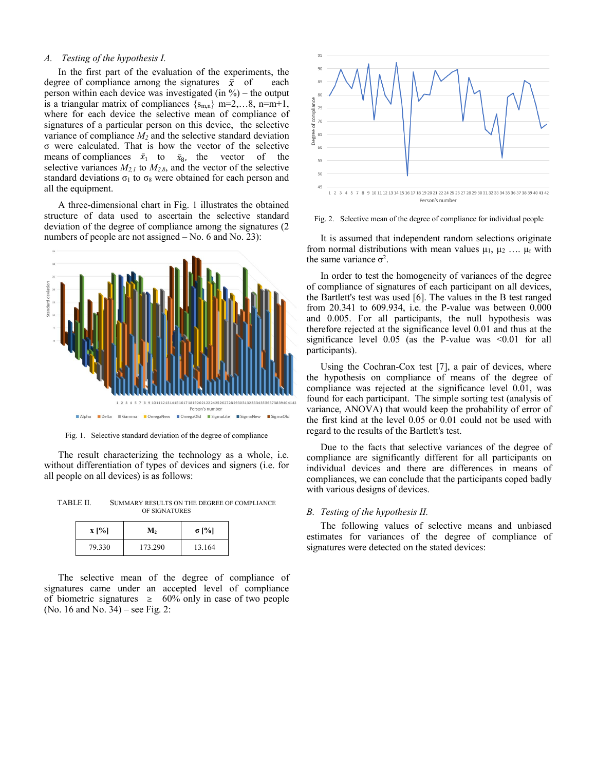# *A. Testing of the hypothesis I.*

In the first part of the evaluation of the experiments, the degree of compliance among the signatures  $\bar{x}$  of each person within each device was investigated (in  $\%$ ) – the output is a triangular matrix of compliances  $\{s_{m,n}\}\$  m=2,...8, n=m+1, where for each device the selective mean of compliance of signatures of a particular person on this device, the selective variance of compliance  $M_2$  and the selective standard deviation σ were calculated. That is how the vector of the selective means of compliances  $\bar{x}_1$  to  $\bar{x}_8$ , the vector of the selective variances  $M_{2,l}$  to  $M_{2,8}$ , and the vector of the selective standard deviations  $\sigma_1$  to  $\sigma_8$  were obtained for each person and all the equipment.

A three-dimensional chart in Fig. 1 illustrates the obtained structure of data used to ascertain the selective standard deviation of the degree of compliance among the signatures (2 numbers of people are not assigned – No. 6 and No. 23):



Fig. 1. Selective standard deviation of the degree of compliance

The result characterizing the technology as a whole, i.e. without differentiation of types of devices and signers (i.e. for all people on all devices) is as follows:

TABLE II. SUMMARY RESULTS ON THE DEGREE OF COMPLIANCE OF SIGNATURES

| $\mathbf{x}$ [%] | М,      | $\sigma$ [%] |
|------------------|---------|--------------|
| 79.330           | 173.290 | 13.164       |

The selective mean of the degree of compliance of signatures came under an accepted level of compliance of biometric signatures  $\geq 60\%$  only in case of two people (No. 16 and No. 34) – see Fig. 2:



Fig. 2. Selective mean of the degree of compliance for individual people

It is assumed that independent random selections originate from normal distributions with mean values  $\mu_1, \mu_2, \ldots, \mu_r$  with the same variance  $\sigma^2$ .

In order to test the homogeneity of variances of the degree of compliance of signatures of each participant on all devices, the Bartlett's test was used [6]. The values in the B test ranged from 20.341 to 609.934, i.e. the P-value was between 0.000 and 0.005. For all participants, the null hypothesis was therefore rejected at the significance level 0.01 and thus at the significance level  $0.05$  (as the P-value was  $\leq 0.01$  for all participants).

Using the Cochran-Cox test [7], a pair of devices, where the hypothesis on compliance of means of the degree of compliance was rejected at the significance level 0.01, was found for each participant. The simple sorting test (analysis of variance, ANOVA) that would keep the probability of error of the first kind at the level 0.05 or 0.01 could not be used with regard to the results of the Bartlett's test.

Due to the facts that selective variances of the degree of compliance are significantly different for all participants on individual devices and there are differences in means of compliances, we can conclude that the participants coped badly with various designs of devices.

# *B. Testing of the hypothesis II.*

The following values of selective means and unbiased estimates for variances of the degree of compliance of signatures were detected on the stated devices: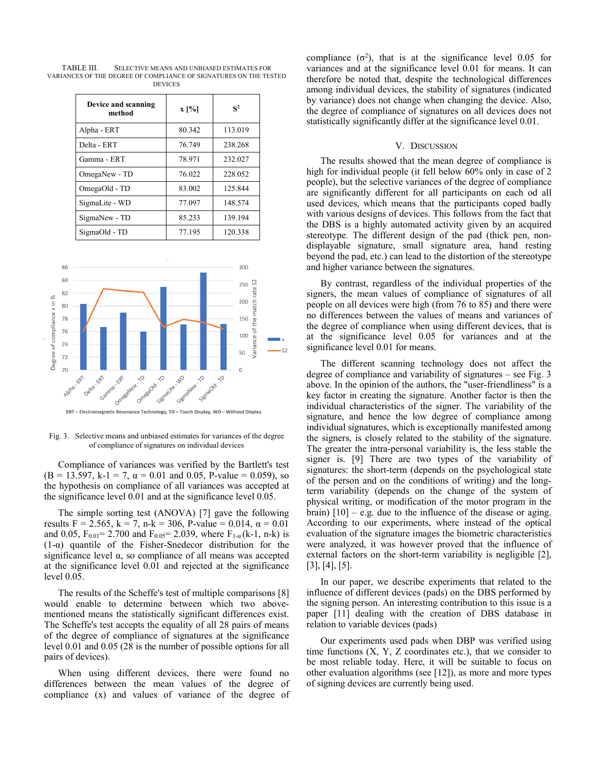TABLE III. SELECTIVE MEANS AND UNBIASED ESTIMATES FOR VARIANCES OF THE DEGREE OF COMPLIANCE OF SIGNATURES ON THE TESTED DEVICES

| Device and scanning<br>method | $x \left[ \% \right]$ | $S^2$   |
|-------------------------------|-----------------------|---------|
| Alpha - ERT                   | 80.342                | 113.019 |
| Delta - ERT                   | 76.749                | 238.268 |
| Gamma - ERT                   | 78.971                | 232.027 |
| OmegaNew - TD                 | 76.022                | 228.052 |
| OmegaOld - TD                 | 83.002                | 125.844 |
| SigmaLite - WD                | 77.097                | 148.574 |
| SigmaNew - TD                 | 85.233                | 139.194 |
| SigmaOld - TD                 | 77.195                | 120.338 |



Fig. 3. Selective means and unbiased estimates for variances of the degree of compliance of signatures on individual devices

Compliance of variances was verified by the Bartlett's test  $(B = 13.597, k-l = 7, \alpha = 0.01$  and 0.05, P-value = 0.059), so the hypothesis on compliance of all variances was accepted at the significance level 0.01 and at the significance level 0.05.

The simple sorting test (ANOVA) [7] gave the following results F = 2.565, k = 7, n-k = 306, P-value = 0.014,  $\alpha$  = 0.01 and 0.05,  $F_{0.01} = 2.700$  and  $F_{0.05} = 2.039$ , where  $F_{1-\alpha}$ (k-1, n-k) is (1-α) quantile of the Fisher-Snedecor distribution for the significance level  $\alpha$ , so compliance of all means was accepted at the significance level 0.01 and rejected at the significance level 0.05.

The results of the Scheffe's test of multiple comparisons [8] would enable to determine between which two abovementioned means the statistically significant differences exist. The Scheffe's test accepts the equality of all 28 pairs of means of the degree of compliance of signatures at the significance level 0.01 and 0.05 (28 is the number of possible options for all pairs of devices).

When using different devices, there were found no differences between the mean values of the degree of compliance (x) and values of variance of the degree of

compliance  $(\sigma^2)$ , that is at the significance level 0.05 for variances and at the significance level 0.01 for means. It can therefore be noted that, despite the technological differences among individual devices, the stability of signatures (indicated by variance) does not change when changing the device. Also, the degree of compliance of signatures on all devices does not statistically significantly differ at the significance level 0.01.

# V. DISCUSSION

The results showed that the mean degree of compliance is high for individual people (it fell below 60% only in case of 2 people), but the selective variances of the degree of compliance are significantly different for all participants on each od all used devices, which means that the participants coped badly with various designs of devices. This follows from the fact that the DBS is a highly automated activity given by an acquired stereotype. The different design of the pad (thick pen, nondisplayable signature, small signature area, hand resting beyond the pad, etc.) can lead to the distortion of the stereotype and higher variance between the signatures.

By contrast, regardless of the individual properties of the signers, the mean values of compliance of signatures of all people on all devices were high (from 76 to 85) and there were no differences between the values of means and variances of the degree of compliance when using different devices, that is at the significance level 0.05 for variances and at the significance level 0.01 for means.

The different scanning technology does not affect the degree of compliance and variability of signatures – see Fig. 3 above. In the opinion of the authors, the "user-friendliness" is a key factor in creating the signature. Another factor is then the individual characteristics of the signer. The variability of the signature, and hence the low degree of compliance among individual signatures, which is exceptionally manifested among the signers, is closely related to the stability of the signature. The greater the intra-personal variability is, the less stable the signer is. [9] There are two types of the variability of signatures: the short-term (depends on the psychological state of the person and on the conditions of writing) and the longterm variability (depends on the change of the system of physical writing, or modification of the motor program in the brain)  $[10]$  – e.g. due to the influence of the disease or aging. According to our experiments, where instead of the optical evaluation of the signature images the biometric characteristics were analyzed, it was however proved that the influence of external factors on the short-term variability is negligible [2], [3], [4], [5].

In our paper, we describe experiments that related to the influence of different devices (pads) on the DBS performed by the signing person. An interesting contribution to this issue is a paper [11] dealing with the creation of DBS database in relation to variable devices (pads)

Our experiments used pads when DBP was verified using time functions  $(X, Y, Z)$  coordinates etc.), that we consider to be most reliable today. Here, it will be suitable to focus on other evaluation algorithms (see [12]), as more and more types of signing devices are currently being used.